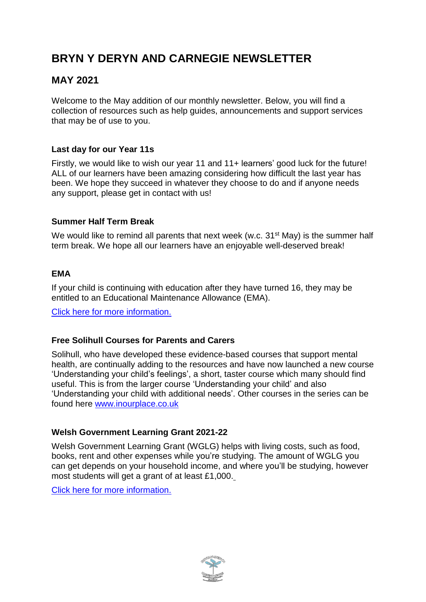# **BRYN Y DERYN AND CARNEGIE NEWSLETTER**

## **MAY 2021**

Welcome to the May addition of our monthly newsletter. Below, you will find a collection of resources such as help guides, announcements and support services that may be of use to you.

## **Last day for our Year 11s**

Firstly, we would like to wish our year 11 and 11+ learners' good luck for the future! ALL of our learners have been amazing considering how difficult the last year has been. We hope they succeed in whatever they choose to do and if anyone needs any support, please get in contact with us!

## **Summer Half Term Break**

We would like to remind all parents that next week (w.c. 31<sup>st</sup> May) is the summer half term break. We hope all our learners have an enjoyable well-deserved break!

## **EMA**

If your child is continuing with education after they have turned 16, they may be entitled to an Educational Maintenance Allowance (EMA).

Click here for more [information.](https://www.brynyderynpru.co.uk/post/ema-guidance-2021-22-school-year)

#### **Free Solihull Courses for Parents and Carers**

Solihull, who have developed these evidence-based courses that support mental health, are continually adding to the resources and have now launched a new course 'Understanding your child's feelings', a short, taster course which many should find useful. This is from the larger course 'Understanding your child' and also 'Understanding your child with additional needs'. Other courses in the series can be found here [www.inourplace.co.uk](http://www.inourplace.co.uk/)

#### **Welsh Government Learning Grant 2021-22**

Welsh Government Learning Grant (WGLG) helps with living costs, such as food, books, rent and other expenses while you're studying. The amount of WGLG you can get depends on your household income, and where you'll be studying, however most students will get a grant of at least £1,000.

Click here for more [information.](https://www.studentfinancewales.co.uk/undergraduate-students/new-students/what-financial-support-is-available/help-with-living-costs.aspx#:~:text=Welsh%20Government%20Learning%20Grant%20(WGLG,of%20at%20least%20%C2%A31%2C000)